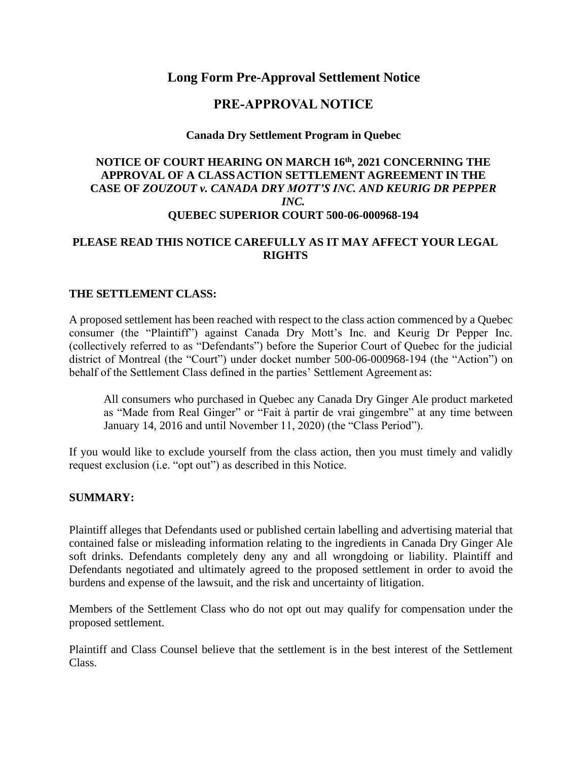# **Long Form Pre-Approval Settlement Notice**

# **PRE-APPROVAL NOTICE**

#### **Canada Dry Settlement Program in Quebec**

### **NOTICE OF COURT HEARING ON MARCH 16th, 2021 CONCERNING THE APPROVAL OF A CLASSACTION SETTLEMENT AGREEMENT IN THE CASE OF** *ZOUZOUT v. CANADA DRY MOTT'S INC. AND KEURIG DR PEPPER INC.* **QUEBEC SUPERIOR COURT 500-06-000968-194**

### **PLEASE READ THIS NOTICE CAREFULLY AS IT MAY AFFECT YOUR LEGAL RIGHTS**

#### **THE SETTLEMENT CLASS:**

A proposed settlement has been reached with respect to the class action commenced by a Quebec consumer (the "Plaintiff") against Canada Dry Mott's Inc. and Keurig Dr Pepper Inc. (collectively referred to as "Defendants") before the Superior Court of Quebec for the judicial district of Montreal (the "Court") under docket number 500-06-000968-194 (the "Action") on behalf of the Settlement Class defined in the parties' Settlement Agreement as:

All consumers who purchased in Quebec any Canada Dry Ginger Ale product marketed as "Made from Real Ginger" or "Fait à partir de vrai gingembre" at any time between January 14, 2016 and until November 11, 2020) (the "Class Period").

If you would like to exclude yourself from the class action, then you must timely and validly request exclusion (i.e. "opt out") as described in this Notice.

#### **SUMMARY:**

Plaintiff alleges that Defendants used or published certain labelling and advertising material that contained false or misleading information relating to the ingredients in Canada Dry Ginger Ale soft drinks. Defendants completely deny any and all wrongdoing or liability. Plaintiff and Defendants negotiated and ultimately agreed to the proposed settlement in order to avoid the burdens and expense of the lawsuit, and the risk and uncertainty of litigation.

Members of the Settlement Class who do not opt out may qualify for compensation under the proposed settlement.

Plaintiff and Class Counsel believe that the settlement is in the best interest of the Settlement Class.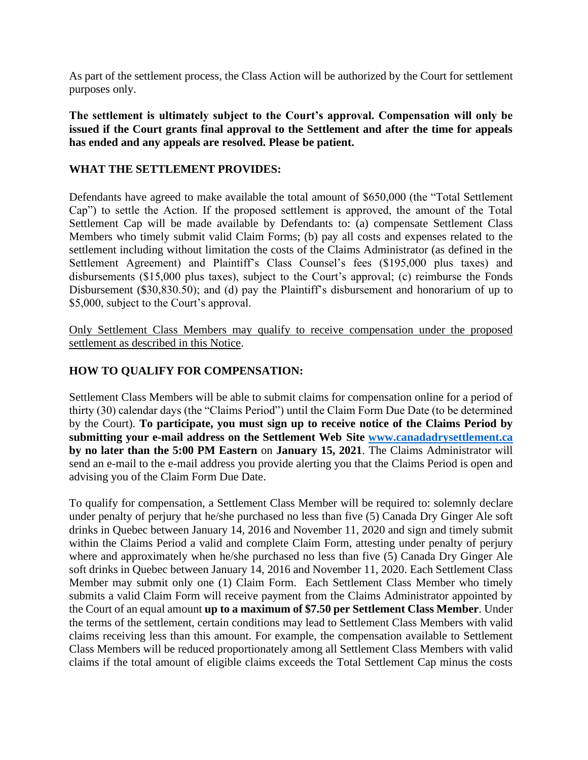As part of the settlement process, the Class Action will be authorized by the Court for settlement purposes only.

**The settlement is ultimately subject to the Court's approval. Compensation will only be issued if the Court grants final approval to the Settlement and after the time for appeals has ended and any appeals are resolved. Please be patient.**

## **WHAT THE SETTLEMENT PROVIDES:**

Defendants have agreed to make available the total amount of \$650,000 (the "Total Settlement Cap") to settle the Action. If the proposed settlement is approved, the amount of the Total Settlement Cap will be made available by Defendants to: (a) compensate Settlement Class Members who timely submit valid Claim Forms; (b) pay all costs and expenses related to the settlement including without limitation the costs of the Claims Administrator (as defined in the Settlement Agreement) and Plaintiff's Class Counsel's fees (\$195,000 plus taxes) and disbursements (\$15,000 plus taxes), subject to the Court's approval; (c) reimburse the Fonds Disbursement (\$30,830.50); and (d) pay the Plaintiff's disbursement and honorarium of up to \$5,000, subject to the Court's approval.

Only Settlement Class Members may qualify to receive compensation under the proposed settlement as described in this Notice.

## **HOW TO QUALIFY FOR COMPENSATION:**

Settlement Class Members will be able to submit claims for compensation online for a period of thirty (30) calendar days (the "Claims Period") until the Claim Form Due Date (to be determined by the Court). **To participate, you must sign up to receive notice of the Claims Period by submitting your e-mail address on the Settlement Web Site [www.canadadrysettlement.ca](http://www.canadadrysettlement.ca/) by no later than the 5:00 PM Eastern** on **January 15, 2021**. The Claims Administrator will send an e-mail to the e-mail address you provide alerting you that the Claims Period is open and advising you of the Claim Form Due Date.

To qualify for compensation, a Settlement Class Member will be required to: solemnly declare under penalty of perjury that he/she purchased no less than five (5) Canada Dry Ginger Ale soft drinks in Quebec between January 14, 2016 and November 11, 2020 and sign and timely submit within the Claims Period a valid and complete Claim Form, attesting under penalty of perjury where and approximately when he/she purchased no less than five (5) Canada Dry Ginger Ale soft drinks in Quebec between January 14, 2016 and November 11, 2020. Each Settlement Class Member may submit only one (1) Claim Form. Each Settlement Class Member who timely submits a valid Claim Form will receive payment from the Claims Administrator appointed by the Court of an equal amount **up to a maximum of \$7.50 per Settlement Class Member**. Under the terms of the settlement, certain conditions may lead to Settlement Class Members with valid claims receiving less than this amount. For example, the compensation available to Settlement Class Members will be reduced proportionately among all Settlement Class Members with valid claims if the total amount of eligible claims exceeds the Total Settlement Cap minus the costs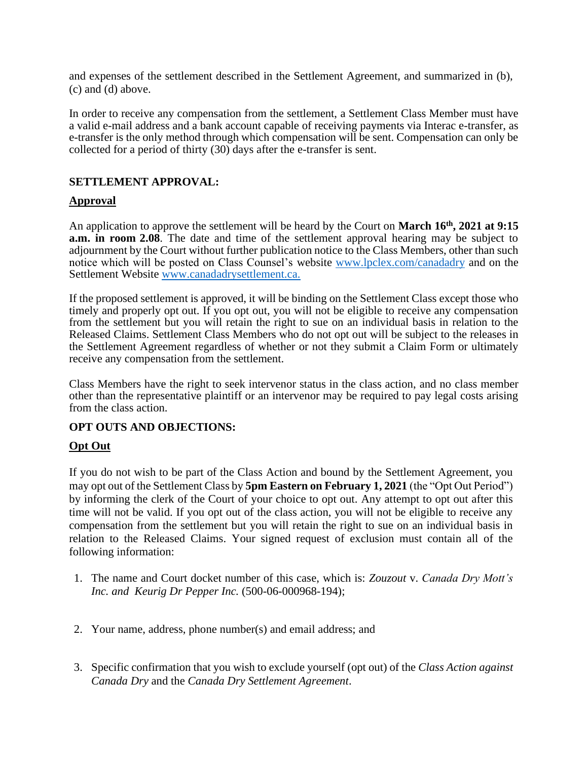and expenses of the settlement described in the Settlement Agreement, and summarized in (b), (c) and (d) above.

In order to receive any compensation from the settlement, a Settlement Class Member must have a valid e-mail address and a bank account capable of receiving payments via Interac e-transfer, as e-transfer is the only method through which compensation will be sent. Compensation can only be collected for a period of thirty (30) days after the e-transfer is sent.

## **SETTLEMENT APPROVAL:**

## **Approval**

An application to approve the settlement will be heard by the Court on **March 16th, 2021 at 9:15 a.m. in room 2.08**. The date and time of the settlement approval hearing may be subject to adjournment by the Court without further publication notice to the Class Members, other than such notice which will be posted on Class Counsel's website [www.lpclex.com/canadadry](http://www.lpclex.com/canadadry) and on the Settlement Website [www.canadadrysettlement.ca.](http://www.canadadrysettlement.ca/)

If the proposed settlement is approved, it will be binding on the Settlement Class except those who timely and properly opt out. If you opt out, you will not be eligible to receive any compensation from the settlement but you will retain the right to sue on an individual basis in relation to the Released Claims. Settlement Class Members who do not opt out will be subject to the releases in the Settlement Agreement regardless of whether or not they submit a Claim Form or ultimately receive any compensation from the settlement.

Class Members have the right to seek intervenor status in the class action, and no class member other than the representative plaintiff or an intervenor may be required to pay legal costs arising from the class action.

#### **OPT OUTS AND OBJECTIONS:**

## **Opt Out**

If you do not wish to be part of the Class Action and bound by the Settlement Agreement, you may opt out of the Settlement Class by **5pm Eastern on February 1, 2021** (the "Opt Out Period") by informing the clerk of the Court of your choice to opt out. Any attempt to opt out after this time will not be valid. If you opt out of the class action, you will not be eligible to receive any compensation from the settlement but you will retain the right to sue on an individual basis in relation to the Released Claims. Your signed request of exclusion must contain all of the following information:

- 1. The name and Court docket number of this case, which is: *Zouzout* v. *Canada Dry Mott's Inc. and Keurig Dr Pepper Inc.* (500-06-000968-194);
- 2. Your name, address, phone number(s) and email address; and
- 3. Specific confirmation that you wish to exclude yourself (opt out) of the *Class Action against Canada Dry* and the *Canada Dry Settlement Agreement*.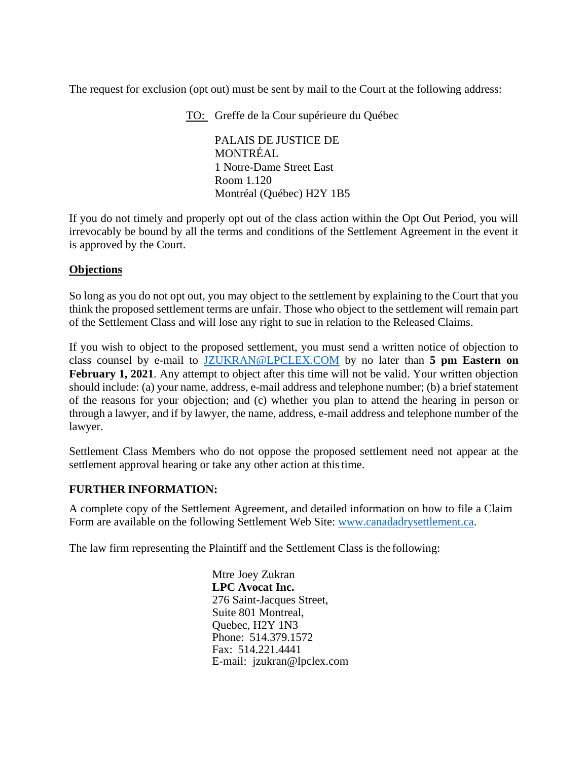The request for exclusion (opt out) must be sent by mail to the Court at the following address:

TO: Greffe de la Cour supérieure du Québec

PALAIS DE JUSTICE DE MONTRÉAL 1 Notre-Dame Street East Room 1.120 Montréal (Québec) H2Y 1B5

If you do not timely and properly opt out of the class action within the Opt Out Period, you will irrevocably be bound by all the terms and conditions of the Settlement Agreement in the event it is approved by the Court.

## **Objections**

So long as you do not opt out, you may object to the settlement by explaining to the Court that you think the proposed settlement terms are unfair. Those who object to the settlement will remain part of the Settlement Class and will lose any right to sue in relation to the Released Claims.

If you wish to object to the proposed settlement, you must send a written notice of objection to class counsel by e-mail to [JZUKRAN@LPCLEX.COM](mailto:JZUKRAN@LPCLEX.COM) by no later than **5 pm Eastern on February 1, 2021**. Any attempt to object after this time will not be valid. Your written objection should include: (a) your name, address, e-mail address and telephone number; (b) a brief statement of the reasons for your objection; and (c) whether you plan to attend the hearing in person or through a lawyer, and if by lawyer, the name, address, e-mail address and telephone number of the lawyer.

Settlement Class Members who do not oppose the proposed settlement need not appear at the settlement approval hearing or take any other action at thistime.

#### **FURTHER INFORMATION:**

A complete copy of the Settlement Agreement, and detailed information on how to file a Claim Form are available on the following Settlement Web Site: [www.canadadrysettlement.ca.](http://www.canadadrysettlement.ca/)

The law firm representing the Plaintiff and the Settlement Class is the following:

Mtre Joey Zukran **LPC Avocat Inc.** 276 Saint-Jacques Street, Suite 801 Montreal, Quebec, H2Y 1N3 Phone: 514.379.1572 Fax: 514.221.4441 E-mail: jzukran@lpclex.com